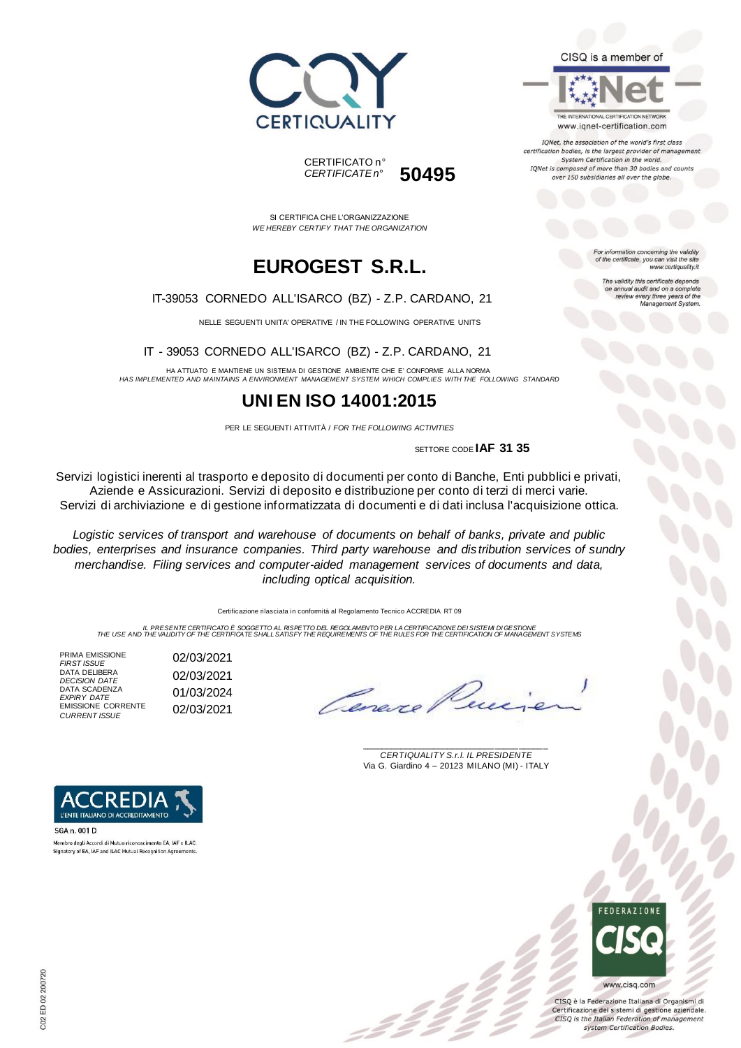





www.iqnet-certification.com

IQNet, the association of the world's first class certification bodies, is the largest provider of manager System Certification in the world. IQNet is composed of more than 30 bodies and counts over 150 subsidiaries all over the globe.

> ion concerning the validity of the certificate, you can visit the sit

The validity this certificate depends on annual audit and on a complete<br>review every three years of the<br>Management System.

www.certiquality.it

SI CERTIFICA CHE L'ORGANIZZAZIONE *WE HEREBY CERTIFY THAT THE ORGANIZATION*

CERTIFICATO n°

*CERTIFICATE n°* **50495**

# **EUROGEST S.R.L.**

#### IT-39053 CORNEDO ALL'ISARCO (BZ) - Z.P. CARDANO, 21

NELLE SEGUENTI UNITA' OPERATIVE / IN THE FOLLOWING OPERATIVE UNITS

#### IT - 39053 CORNEDO ALL'ISARCO (BZ) - Z.P. CARDANO, 21

HA ATTUATO E MANTIENE UN SISTEMA DI GESTIONE AMBIENTE CHE E' CONFORME ALLA NORMA *HAS IMPLEMENTED AND MAINTAINS A ENVIRONMENT MANAGEMENT SYSTEM WHICH COMPLIES WITH THE FOLLOWING STANDARD*

### **UNI EN ISO 14001:2015**

PER LE SEGUENTI ATTIVITÀ / *FOR THE FOLLOWING ACTIVITIES*

SETTORE CODE **IAF 31 35**

Servizi logistici inerenti al trasporto e deposito di documenti per conto di Banche, Enti pubblici e privati, Aziende e Assicurazioni. Servizi di deposito e distribuzione per conto di terzi di merci varie. Servizi di archiviazione e di gestione informatizzata di documenti e di dati inclusa l'acquisizione ottica.

*Logistic services of transport and warehouse of documents on behalf of banks, private and public bodies, enterprises and insurance companies. Third party warehouse and dis tribution services of sundry merchandise. Filing services and computer-aided management services of documents and data, including optical acquisition.*

Certificazione rilasciata in conformità al Regolamento Tecnico ACCREDIA RT 09

IL PRESENTE CERTIFICATO E SOGGETTO AL RISPETTO DEL REGOLAMENTO PER LA CERTIFICAZIONE DEI SISTEM DI GESTIONE<br>THE USE AND THE VALIDITY OF THE CERTIFICATE SHALL SATISFY THE REQUIREMENTS OF THE RULES FOR THE CERTIFICATION OF M

PRIMA EMISSIONE<br>FIRST ISSUE DATA DELIBERA DATA DELIBERA<br>*DECISION DATE* 02/03/2021 DATA SCADENZA *EXPIRY DATE* 01/03/2024 EMISSIONE CORRENTE **EMISSIONE CORRENTE** 02/03/2021

*FIRST ISSUE* 02/03/2021

Canero

\_\_\_\_\_\_\_\_\_\_\_\_\_\_\_\_\_\_\_\_\_\_\_\_\_\_\_\_\_\_\_\_\_\_\_\_\_\_\_ *CERTIQUALITY S.r.l. IL PRESIDENTE* Via G. Giardino 4 – 20123 MILANO (MI) - ITALY

= 2 2<br>- 2 2



CISQ è la Federazione Italiana di Organismi di Certificazione dei sistemi di gestione aziendale. CISQ is the Italian Federation of management system Certification Bodies.



SGA n. 001 D Membro degli Accordi di Mutuo riconoscimento EA, IAF e ILAC Signatory of EA, IAF and ILAC Mutual Recognition Agreem